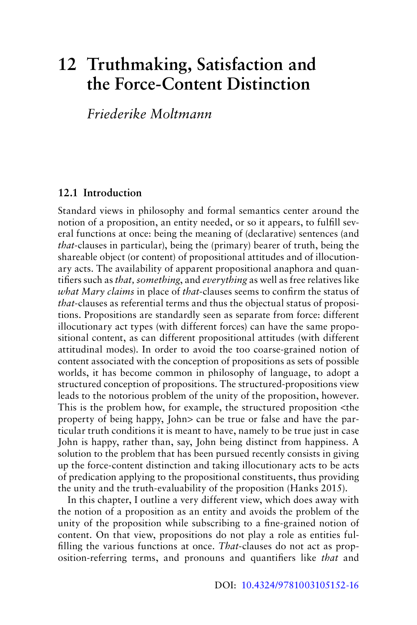# **12 Truthmaking, Satisfaction and the Force-Content Distinction**

# *Friederike Moltmann*

#### **12.1 Introduction**

Standard views in philosophy and formal semantics center around the notion of a proposition, an entity needed, or so it appears, to fulfill several functions at once: being the meaning of (declarative) sentences (and *that*-clauses in particular), being the (primary) bearer of truth, being the shareable object (or content) of propositional attitudes and of illocutionary acts. The availability of apparent propositional anaphora and quantifiers such as *that, something*, and *everything* as well as free relatives like *what Mary claims* in place of *that*-clauses seems to confirm the status of *that*-clauses as referential terms and thus the objectual status of propositions. Propositions are standardly seen as separate from force: different illocutionary act types (with different forces) can have the same propositional content, as can different propositional attitudes (with different attitudinal modes). In order to avoid the too coarse-grained notion of content associated with the conception of propositions as sets of possible worlds, it has become common in philosophy of language, to adopt a structured conception of propositions. The structured-propositions view leads to the notorious problem of the unity of the proposition, however. This is the problem how, for example, the structured proposition <the property of being happy, John> can be true or false and have the particular truth conditions it is meant to have, namely to be true just in case John is happy, rather than, say, John being distinct from happiness. A solution to the problem that has been pursued recently consists in giving up the force-content distinction and taking illocutionary acts to be acts of predication applying to the propositional constituents, thus providing the unity and the truth-evaluability of the proposition (Hanks 2015).

In this chapter, I outline a very different view, which does away with the notion of a proposition as an entity and avoids the problem of the unity of the proposition while subscribing to a fine-grained notion of content. On that view, propositions do not play a role as entities fulfilling the various functions at once. *That*-clauses do not act as proposition-referring terms, and pronouns and quantifiers like *that* and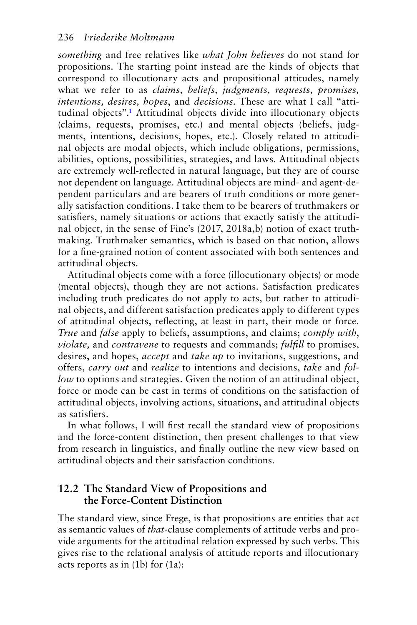<span id="page-1-0"></span>*something* and free relatives like *what John believes* do not stand for propositions. The starting point instead are the kinds of objects that correspond to illocutionary acts and propositional attitudes, namely what we refer to as *claims, beliefs, judgments, requests, promises, intentions, desires, hopes*, and *decisions*. These are what I call "attitudinal objects"[.1](#page-13-0) Attitudinal objects divide into illocutionary objects (claims, requests, promises, etc.) and mental objects (beliefs, judgments, intentions, decisions, hopes, etc.). Closely related to attitudinal objects are modal objects, which include obligations, permissions, abilities, options, possibilities, strategies, and laws. Attitudinal objects are extremely well-reflected in natural language, but they are of course not dependent on language. Attitudinal objects are mind- and agent-dependent particulars and are bearers of truth conditions or more generally satisfaction conditions. I take them to be bearers of truthmakers or satisfiers, namely situations or actions that exactly satisfy the attitudinal object, in the sense of Fine's (2017, 2018a,b) notion of exact truthmaking. Truthmaker semantics, which is based on that notion, allows for a fine-grained notion of content associated with both sentences and attitudinal objects.

Attitudinal objects come with a force (illocutionary objects) or mode (mental objects), though they are not actions. Satisfaction predicates including truth predicates do not apply to acts, but rather to attitudinal objects, and different satisfaction predicates apply to different types of attitudinal objects, reflecting, at least in part, their mode or force. *True* and *false* apply to beliefs, assumptions, and claims; *comply with*, *violate,* and *contravene* to requests and commands; *fulfill* to promises, desires, and hopes, *accept* and *take up* to invitations, suggestions, and offers, *carry out* and *realize* to intentions and decisions, *take* and *follow* to options and strategies. Given the notion of an attitudinal object, force or mode can be cast in terms of conditions on the satisfaction of attitudinal objects, involving actions, situations, and attitudinal objects as satisfiers.

In what follows, I will first recall the standard view of propositions and the force-content distinction, then present challenges to that view from research in linguistics, and finally outline the new view based on attitudinal objects and their satisfaction conditions.

# **12.2 The Standard View of Propositions and the Force-Content Distinction**

The standard view, since Frege, is that propositions are entities that act as semantic values of *that-*clause complements of attitude verbs and provide arguments for the attitudinal relation expressed by such verbs. This gives rise to the relational analysis of attitude reports and illocutionary acts reports as in (1b) for (1a):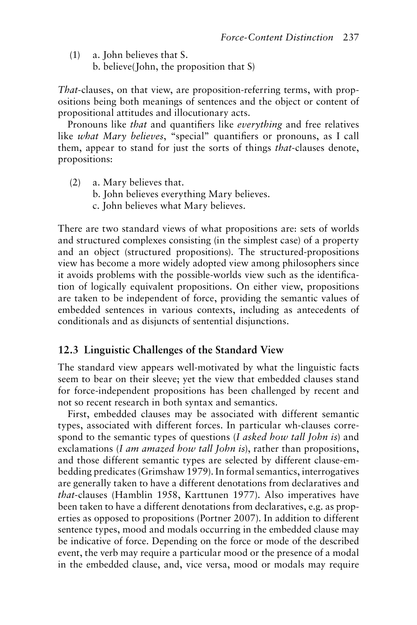(1) a. John believes that S.

b. believe(John, the proposition that S)

*That*-clauses, on that view, are proposition-referring terms, with propositions being both meanings of sentences and the object or content of propositional attitudes and illocutionary acts.

Pronouns like *that* and quantifiers like *everything* and free relatives like *what Mary believes*, "special" quantifiers or pronouns, as I call them, appear to stand for just the sorts of things *that*-clauses denote, propositions:

(2) a. Mary believes that. b. John believes everything Mary believes. c. John believes what Mary believes.

There are two standard views of what propositions are: sets of worlds and structured complexes consisting (in the simplest case) of a property and an object (structured propositions). The structured-propositions view has become a more widely adopted view among philosophers since it avoids problems with the possible-worlds view such as the identification of logically equivalent propositions. On either view, propositions are taken to be independent of force, providing the semantic values of embedded sentences in various contexts, including as antecedents of conditionals and as disjuncts of sentential disjunctions.

#### **12.3 Linguistic Challenges of the Standard View**

The standard view appears well-motivated by what the linguistic facts seem to bear on their sleeve; yet the view that embedded clauses stand for force-independent propositions has been challenged by recent and not so recent research in both syntax and semantics.

First, embedded clauses may be associated with different semantic types, associated with different forces. In particular wh-clauses correspond to the semantic types of questions (*I asked how tall John is*) and exclamations (*I am amazed how tall John is*), rather than propositions, and those different semantic types are selected by different clause-embedding predicates (Grimshaw 1979). In formal semantics, interrogatives are generally taken to have a different denotations from declaratives and *that*-clauses (Hamblin 1958, Karttunen 1977). Also imperatives have been taken to have a different denotations from declaratives, e.g. as properties as opposed to propositions (Portner 2007). In addition to different sentence types, mood and modals occurring in the embedded clause may be indicative of force. Depending on the force or mode of the described event, the verb may require a particular mood or the presence of a modal in the embedded clause, and, vice versa, mood or modals may require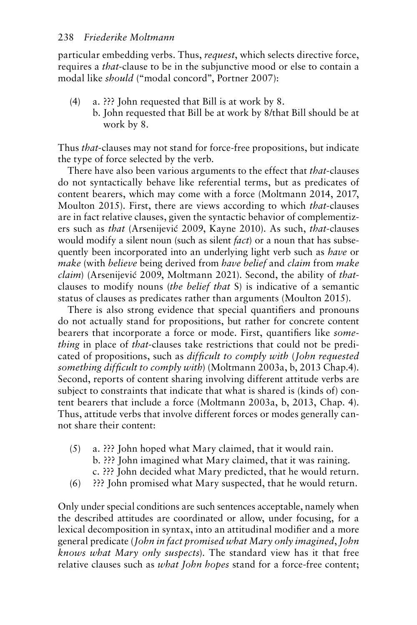particular embedding verbs. Thus, *request*, which selects directive force, requires a *that*-clause to be in the subjunctive mood or else to contain a modal like *should* ("modal concord", Portner 2007):

- (4) a. ??? John requested that Bill is at work by 8.
	- b. John requested that Bill be at work by 8/that Bill should be at work by 8.

Thus *that*-clauses may not stand for force-free propositions, but indicate the type of force selected by the verb.

There have also been various arguments to the effect that *that*-clauses do not syntactically behave like referential terms, but as predicates of content bearers, which may come with a force (Moltmann 2014, 2017, Moulton 2015). First, there are views according to which *that*-clauses are in fact relative clauses, given the syntactic behavior of complementizers such as *that* (Arsenijević 2009, Kayne 2010). As such, *that*-clauses would modify a silent noun (such as silent *fact*) or a noun that has subsequently been incorporated into an underlying light verb such as *have* or *make* (with *believe* being derived from *have belief* and *claim* from *make claim*) (Arsenijević 2009, Moltmann 2021). Second, the ability of *that*clauses to modify nouns (*the belief that* S) is indicative of a semantic status of clauses as predicates rather than arguments (Moulton 2015).

There is also strong evidence that special quantifiers and pronouns do not actually stand for propositions, but rather for concrete content bearers that incorporate a force or mode. First, quantifiers like *something* in place of *that*-clauses take restrictions that could not be predicated of propositions, such as *difficult to comply with* (*John requested something difficult to comply with*) (Moltmann 2003a, b, 2013 Chap.4). Second, reports of content sharing involving different attitude verbs are subject to constraints that indicate that what is shared is (kinds of) content bearers that include a force (Moltmann 2003a, b, 2013, Chap. 4). Thus, attitude verbs that involve different forces or modes generally cannot share their content:

- (5) a. ??? John hoped what Mary claimed, that it would rain. b. ??? John imagined what Mary claimed, that it was raining. c. ??? John decided what Mary predicted, that he would return.
- (6) ??? John promised what Mary suspected, that he would return.

Only under special conditions are such sentences acceptable, namely when the described attitudes are coordinated or allow, under focusing, for a lexical decomposition in syntax, into an attitudinal modifier and a more general predicate (*John in fact promised what Mary only imagined*, *John knows what Mary only suspects*). The standard view has it that free relative clauses such as *what John hopes* stand for a force-free content;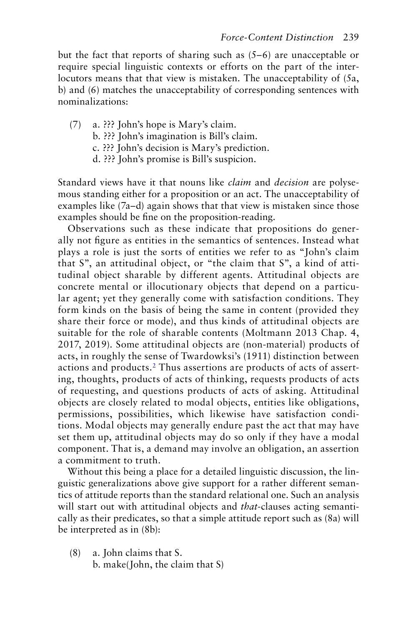<span id="page-4-0"></span>but the fact that reports of sharing such as (5–6) are unacceptable or require special linguistic contexts or efforts on the part of the interlocutors means that that view is mistaken. The unacceptability of (5a, b) and (6) matches the unacceptability of corresponding sentences with nominalizations:

- (7) a. ??? John's hope is Mary's claim. b. ??? John's imagination is Bill's claim. c. ??? John's decision is Mary's prediction.
	- d. ??? John's promise is Bill's suspicion.

Standard views have it that nouns like *claim* and *decision* are polysemous standing either for a proposition or an act. The unacceptability of examples like (7a–d) again shows that that view is mistaken since those examples should be fine on the proposition-reading.

Observations such as these indicate that propositions do generally not figure as entities in the semantics of sentences. Instead what plays a role is just the sorts of entities we refer to as "John's claim that S", an attitudinal object, or "the claim that S", a kind of attitudinal object sharable by different agents. Attitudinal objects are concrete mental or illocutionary objects that depend on a particular agent; yet they generally come with satisfaction conditions. They form kinds on the basis of being the same in content (provided they share their force or mode), and thus kinds of attitudinal objects are suitable for the role of sharable contents (Moltmann 2013 Chap. 4, 2017, 2019). Some attitudinal objects are (non-material) products of acts, in roughly the sense of Twardowksi's (1911) distinction between actions and products.[2](#page-13-0) Thus assertions are products of acts of asserting, thoughts, products of acts of thinking, requests products of acts of requesting, and questions products of acts of asking. Attitudinal objects are closely related to modal objects, entities like obligations, permissions, possibilities, which likewise have satisfaction conditions. Modal objects may generally endure past the act that may have set them up, attitudinal objects may do so only if they have a modal component. That is, a demand may involve an obligation, an assertion a commitment to truth.

Without this being a place for a detailed linguistic discussion, the linguistic generalizations above give support for a rather different semantics of attitude reports than the standard relational one. Such an analysis will start out with attitudinal objects and *that*-clauses acting semantically as their predicates, so that a simple attitude report such as (8a) will be interpreted as in (8b):

(8) a. John claims that S. b. make(John, the claim that S)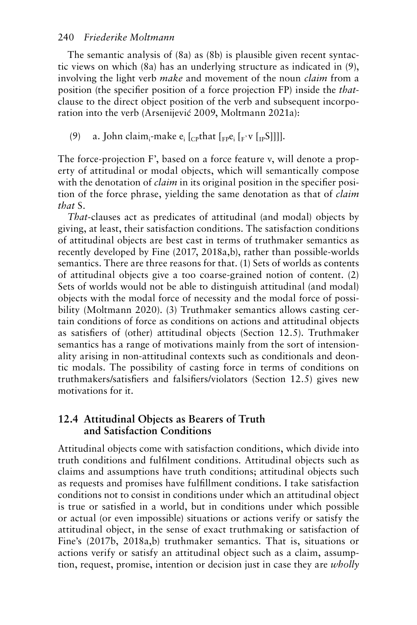#### 240 *Friederike Moltmann*

The semantic analysis of (8a) as (8b) is plausible given recent syntactic views on which (8a) has an underlying structure as indicated in (9), involving the light verb *make* and movement of the noun *claim* from a position (the specifier position of a force projection FP) inside the *that*clause to the direct object position of the verb and subsequent incorporation into the verb (Arsenijević 2009, Moltmann 2021a):

(9) a. John claim<sub>i</sub>-make  $e_i$  [<sub>CP</sub>that [<sub>FP</sub> $e_i$  [<sub>F'</sub> $v$  [<sub>IP</sub>S]]]].

The force-projection F', based on a force feature v, will denote a property of attitudinal or modal objects, which will semantically compose with the denotation of *claim* in its original position in the specifier position of the force phrase, yielding the same denotation as that of *claim that* S.

*That-*clauses act as predicates of attitudinal (and modal) objects by giving, at least, their satisfaction conditions. The satisfaction conditions of attitudinal objects are best cast in terms of truthmaker semantics as recently developed by Fine (2017, 2018a,b), rather than possible-worlds semantics. There are three reasons for that. (1) Sets of worlds as contents of attitudinal objects give a too coarse-grained notion of content. (2) Sets of worlds would not be able to distinguish attitudinal (and modal) objects with the modal force of necessity and the modal force of possibility (Moltmann 2020). (3) Truthmaker semantics allows casting certain conditions of force as conditions on actions and attitudinal objects as satisfiers of (other) attitudinal objects (Section 12.5). Truthmaker semantics has a range of motivations mainly from the sort of intensionality arising in non-attitudinal contexts such as conditionals and deontic modals. The possibility of casting force in terms of conditions on truthmakers/satisfiers and falsifiers/violators (Section 12.5) gives new motivations for it.

#### **12.4 Attitudinal Objects as Bearers of Truth and Satisfaction Conditions**

Attitudinal objects come with satisfaction conditions, which divide into truth conditions and fulfilment conditions. Attitudinal objects such as claims and assumptions have truth conditions; attitudinal objects such as requests and promises have fulfillment conditions. I take satisfaction conditions not to consist in conditions under which an attitudinal object is true or satisfied in a world, but in conditions under which possible or actual (or even impossible) situations or actions verify or satisfy the attitudinal object, in the sense of exact truthmaking or satisfaction of Fine's (2017b, 2018a,b) truthmaker semantics. That is, situations or actions verify or satisfy an attitudinal object such as a claim, assumption, request, promise, intention or decision just in case they are *wholly*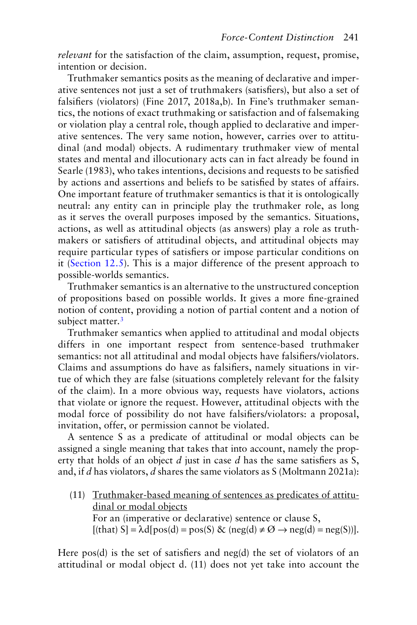<span id="page-6-0"></span>*relevant* for the satisfaction of the claim, assumption, request, promise, intention or decision.

Truthmaker semantics posits as the meaning of declarative and imperative sentences not just a set of truthmakers (satisfiers), but also a set of falsifiers (violators) (Fine 2017, 2018a,b). In Fine's truthmaker semantics, the notions of exact truthmaking or satisfaction and of falsemaking or violation play a central role, though applied to declarative and imperative sentences. The very same notion, however, carries over to attitudinal (and modal) objects. A rudimentary truthmaker view of mental states and mental and illocutionary acts can in fact already be found in Searle (1983), who takes intentions, decisions and requests to be satisfied by actions and assertions and beliefs to be satisfied by states of affairs. One important feature of truthmaker semantics is that it is ontologically neutral: any entity can in principle play the truthmaker role, as long as it serves the overall purposes imposed by the semantics. Situations, actions, as well as attitudinal objects (as answers) play a role as truthmakers or satisfiers of attitudinal objects, and attitudinal objects may require particular types of satisfiers or impose particular conditions on it ([Section 12.5](#page-7-0)). This is a major difference of the present approach to possible-worlds semantics.

Truthmaker semantics is an alternative to the unstructured conception of propositions based on possible worlds. It gives a more fine-grained notion of content, providing a notion of partial content and a notion of subject matter.<sup>3</sup>

Truthmaker semantics when applied to attitudinal and modal objects differs in one important respect from sentence-based truthmaker semantics: not all attitudinal and modal objects have falsifiers/violators. Claims and assumptions do have as falsifiers, namely situations in virtue of which they are false (situations completely relevant for the falsity of the claim). In a more obvious way, requests have violators, actions that violate or ignore the request. However, attitudinal objects with the modal force of possibility do not have falsifiers/violators: a proposal, invitation, offer, or permission cannot be violated.

A sentence S as a predicate of attitudinal or modal objects can be assigned a single meaning that takes that into account, namely the property that holds of an object *d* just in case *d* has the same satisfiers as S, and, if *d* has violators, *d* shares the same violators as S (Moltmann 2021a):

(11) Truthmaker-based meaning of sentences as predicates of attitudinal or modal objects For an (imperative or declarative) sentence or clause S,  $[(that) S] = \lambda d[pos(d) = pos(S) \& (neg(d) \neq \emptyset \rightarrow neg(d) = neg(S))].$ 

Here pos(d) is the set of satisfiers and neg(d) the set of violators of an attitudinal or modal object d. (11) does not yet take into account the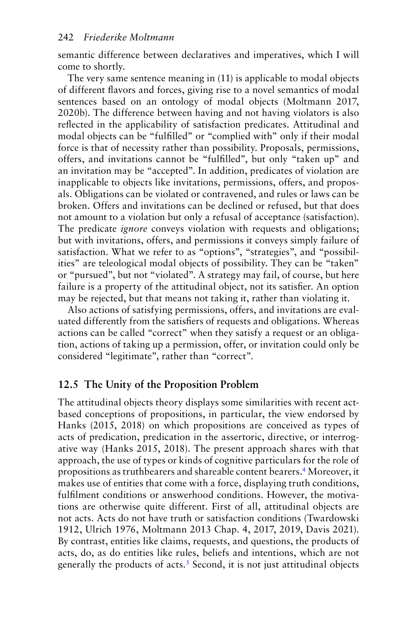<span id="page-7-0"></span>semantic difference between declaratives and imperatives, which I will come to shortly.

The very same sentence meaning in (11) is applicable to modal objects of different flavors and forces, giving rise to a novel semantics of modal sentences based on an ontology of modal objects (Moltmann 2017, 2020b). The difference between having and not having violators is also reflected in the applicability of satisfaction predicates. Attitudinal and modal objects can be "fulfilled" or "complied with" only if their modal force is that of necessity rather than possibility. Proposals, permissions, offers, and invitations cannot be "fulfilled", but only "taken up" and an invitation may be "accepted". In addition, predicates of violation are inapplicable to objects like invitations, permissions, offers, and proposals. Obligations can be violated or contravened, and rules or laws can be broken. Offers and invitations can be declined or refused, but that does not amount to a violation but only a refusal of acceptance (satisfaction). The predicate *ignore* conveys violation with requests and obligations; but with invitations, offers, and permissions it conveys simply failure of satisfaction. What we refer to as "options", "strategies", and "possibilities" are teleological modal objects of possibility. They can be "taken" or "pursued", but not "violated". A strategy may fail, of course, but here failure is a property of the attitudinal object, not its satisfier. An option may be rejected, but that means not taking it, rather than violating it.

Also actions of satisfying permissions, offers, and invitations are evaluated differently from the satisfiers of requests and obligations. Whereas actions can be called "correct" when they satisfy a request or an obligation, actions of taking up a permission, offer, or invitation could only be considered "legitimate", rather than "correct".

#### **12.5 [The Unity of the Proposition Problem](#page-6-0)**

The attitudinal objects theory displays some similarities with recent actbased conceptions of propositions, in particular, the view endorsed by Hanks (2015, 2018) on which propositions are conceived as types of acts of predication, predication in the assertoric, directive, or interrogative way (Hanks 2015, 2018). The present approach shares with that approach, the use of types or kinds of cognitive particulars for the role of propositions as truthbearers and shareable content bearers[.4](#page-13-0) Moreover, it makes use of entities that come with a force, displaying truth conditions, fulfilment conditions or answerhood conditions. However, the motivations are otherwise quite different. First of all, attitudinal objects are not acts. Acts do not have truth or satisfaction conditions (Twardowski 1912, Ulrich 1976, Moltmann 2013 Chap. 4, 2017, 2019, Davis 2021). By contrast, entities like claims, requests, and questions, the products of acts, do, as do entities like rules, beliefs and intentions, which are not generally the products of acts.<sup>[5](#page-13-0)</sup> Second, it is not just attitudinal objects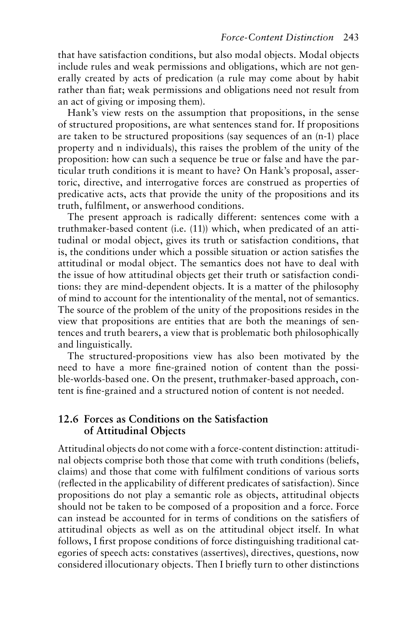that have satisfaction conditions, but also modal objects. Modal objects include rules and weak permissions and obligations, which are not generally created by acts of predication (a rule may come about by habit rather than fiat; weak permissions and obligations need not result from an act of giving or imposing them).

Hank's view rests on the assumption that propositions, in the sense of structured propositions, are what sentences stand for. If propositions are taken to be structured propositions (say sequences of an (n-1) place property and n individuals), this raises the problem of the unity of the proposition: how can such a sequence be true or false and have the particular truth conditions it is meant to have? On Hank's proposal, assertoric, directive, and interrogative forces are construed as properties of predicative acts, acts that provide the unity of the propositions and its truth, fulfilment, or answerhood conditions.

The present approach is radically different: sentences come with a truthmaker-based content (i.e. (11)) which, when predicated of an attitudinal or modal object, gives its truth or satisfaction conditions, that is, the conditions under which a possible situation or action satisfies the attitudinal or modal object. The semantics does not have to deal with the issue of how attitudinal objects get their truth or satisfaction conditions: they are mind-dependent objects. It is a matter of the philosophy of mind to account for the intentionality of the mental, not of semantics. The source of the problem of the unity of the propositions resides in the view that propositions are entities that are both the meanings of sentences and truth bearers, a view that is problematic both philosophically and linguistically.

The structured-propositions view has also been motivated by the need to have a more fine-grained notion of content than the possible-worlds-based one. On the present, truthmaker-based approach, content is fine-grained and a structured notion of content is not needed.

#### **12.6 Forces as Conditions on the Satisfaction of Attitudinal Objects**

Attitudinal objects do not come with a force-content distinction: attitudinal objects comprise both those that come with truth conditions (beliefs, claims) and those that come with fulfilment conditions of various sorts (reflected in the applicability of different predicates of satisfaction). Since propositions do not play a semantic role as objects, attitudinal objects should not be taken to be composed of a proposition and a force. Force can instead be accounted for in terms of conditions on the satisfiers of attitudinal objects as well as on the attitudinal object itself. In what follows, I first propose conditions of force distinguishing traditional categories of speech acts: constatives (assertives), directives, questions, now considered illocutionary objects. Then I briefly turn to other distinctions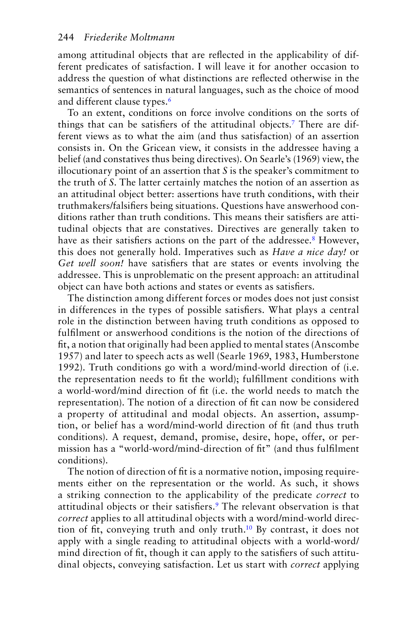<span id="page-9-0"></span>among attitudinal objects that are reflected in the applicability of different predicates of satisfaction. I will leave it for another occasion to address the question of what distinctions are reflected otherwise in the semantics of sentences in natural languages, such as the choice of mood and different clause types.<sup>[6](#page-13-0)</sup>

To an extent, conditions on force involve conditions on the sorts of things that can be satisfiers of the attitudinal objects[.7](#page-13-0) There are different views as to what the aim (and thus satisfaction) of an assertion consists in. On the Gricean view, it consists in the addressee having a belief (and constatives thus being directives). On Searle's (1969) view, the illocutionary point of an assertion that *S* is the speaker's commitment to the truth of *S*. The latter certainly matches the notion of an assertion as an attitudinal object better: assertions have truth conditions, with their truthmakers/falsifiers being situations. Questions have answerhood conditions rather than truth conditions. This means their satisfiers are attitudinal objects that are constatives. Directives are generally taken to have as their satisfiers actions on the part of the addressee.<sup>8</sup> However, this does not generally hold. Imperatives such as *Have a nice day!* or *Get well soon!* have satisfiers that are states or events involving the addressee. This is unproblematic on the present approach: an attitudinal object can have both actions and states or events as satisfiers.

The distinction among different forces or modes does not just consist in differences in the types of possible satisfiers. What plays a central role in the distinction between having truth conditions as opposed to fulfilment or answerhood conditions is the notion of the directions of fit, a notion that originally had been applied to mental states (Anscombe 1957) and later to speech acts as well (Searle 1969, 1983, Humberstone 1992). Truth conditions go with a word/mind-world direction of (i.e. the representation needs to fit the world); fulfillment conditions with a world-word/mind direction of fit (i.e. the world needs to match the representation). The notion of a direction of fit can now be considered a property of attitudinal and modal objects. An assertion, assumption, or belief has a word/mind-world direction of fit (and thus truth conditions). A request, demand, promise, desire, hope, offer, or permission has a "world-word/mind-direction of fit" (and thus fulfilment conditions).

The notion of direction of fit is a normative notion, imposing requirements either on the representation or the world. As such, it shows a striking connection to the applicability of the predicate *correct* to attitudinal objects or their satisfiers.<sup>9</sup> The relevant observation is that *correct* applies to all attitudinal objects with a word/mind-world direction of fit, conveying truth and only truth.[10](#page-13-0) By contrast, it does not apply with a single reading to attitudinal objects with a world-word/ mind direction of fit, though it can apply to the satisfiers of such attitudinal objects, conveying satisfaction. Let us start with *correct* applying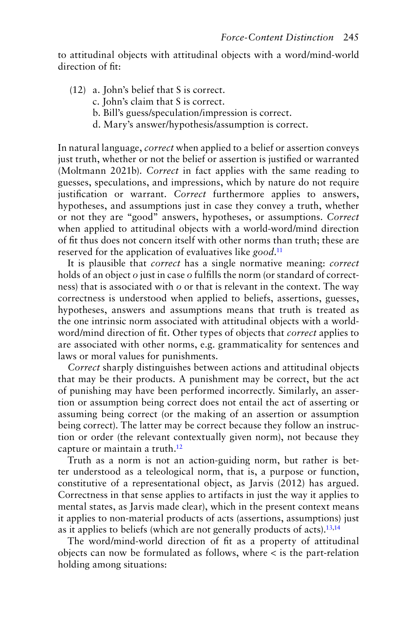<span id="page-10-0"></span>to attitudinal objects with attitudinal objects with a word/mind-world direction of fit:

- (12) a. John's belief that S is correct.
	- c. John's claim that S is correct.
	- b. Bill's guess/speculation/impression is correct.
	- d. Mary's answer/hypothesis/assumption is correct.

In natural language, *correct* when applied to a belief or assertion conveys just truth, whether or not the belief or assertion is justified or warranted (Moltmann 2021b). *Correct* in fact applies with the same reading to guesses, speculations, and impressions, which by nature do not require justification or warrant. *Correct* furthermore applies to answers, hypotheses, and assumptions just in case they convey a truth, whether or not they are "good" answers, hypotheses, or assumptions. *Correct* when applied to attitudinal objects with a world-word/mind direction of fit thus does not concern itself with other norms than truth; these are reserved for the application of evaluatives like *good*. [11](#page-14-0)

It is plausible that *correct* has a single normative meaning: *correct* holds of an object *o* just in case *o* fulfills the norm (or standard of correctness) that is associated with *o* or that is relevant in the context. The way correctness is understood when applied to beliefs, assertions, guesses, hypotheses, answers and assumptions means that truth is treated as the one intrinsic norm associated with attitudinal objects with a worldword/mind direction of fit. Other types of objects that *correct* applies to are associated with other norms, e.g. grammaticality for sentences and laws or moral values for punishments.

*Correct* sharply distinguishes between actions and attitudinal objects that may be their products. A punishment may be correct, but the act of punishing may have been performed incorrectly. Similarly, an assertion or assumption being correct does not entail the act of asserting or assuming being correct (or the making of an assertion or assumption being correct). The latter may be correct because they follow an instruction or order (the relevant contextually given norm), not because they capture or maintain a truth.<sup>12</sup>

Truth as a norm is not an action-guiding norm, but rather is better understood as a teleological norm, that is, a purpose or function, constitutive of a representational object, as Jarvis (2012) has argued. Correctness in that sense applies to artifacts in just the way it applies to mental states, as Jarvis made clear), which in the present context means it applies to non-material products of acts (assertions, assumptions) just as it applies to beliefs (which are not generally products of acts). $13,14$ 

The word/mind-world direction of fit as a property of attitudinal objects can now be formulated as follows, where < is the part-relation holding among situations: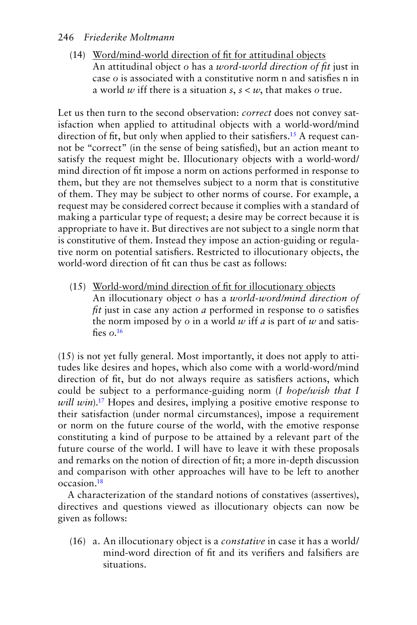#### <span id="page-11-0"></span>246 *Friederike Moltmann*

(14) Word/mind-world direction of fit for attitudinal objects An attitudinal object *o* has a *word-world direction of fit* just in case *o* is associated with a constitutive norm n and satisfies n in a world *w* iff there is a situation *s*, *s* < *w*, that makes *o* true.

Let us then turn to the second observation: *correct* does not convey satisfaction when applied to attitudinal objects with a world-word/mind direction of fit, but only when applied to their satisfiers.<sup>15</sup> A request cannot be "correct" (in the sense of being satisfied), but an action meant to satisfy the request might be. Illocutionary objects with a world-word/ mind direction of fit impose a norm on actions performed in response to them, but they are not themselves subject to a norm that is constitutive of them. They may be subject to other norms of course. For example, a request may be considered correct because it complies with a standard of making a particular type of request; a desire may be correct because it is appropriate to have it. But directives are not subject to a single norm that is constitutive of them. Instead they impose an action-guiding or regulative norm on potential satisfiers. Restricted to illocutionary objects, the world-word direction of fit can thus be cast as follows:

(15) World-word/mind direction of fit for illocutionary objects An illocutionary object *o* has a *world-word/mind direction of fit* just in case any action *a* performed in response to *o* satisfies the norm imposed by *o* in a world *w* iff *a* is part of *w* and satisfies *o*. [16](#page-14-0)

(15) is not yet fully general. Most importantly, it does not apply to attitudes like desires and hopes, which also come with a world-word/mind direction of fit, but do not always require as satisfiers actions, which could be subject to a performance-guiding norm (*I hope/wish that I will win*).<sup>[17](#page-14-0)</sup> Hopes and desires, implying a positive emotive response to their satisfaction (under normal circumstances), impose a requirement or norm on the future course of the world, with the emotive response constituting a kind of purpose to be attained by a relevant part of the future course of the world. I will have to leave it with these proposals and remarks on the notion of direction of fit; a more in-depth discussion and comparison with other approaches will have to be left to another occasion[.18](#page-14-0)

A characterization of the standard notions of constatives (assertives), directives and questions viewed as illocutionary objects can now be given as follows:

(16) a. An illocutionary object is a *constative* in case it has a world/ mind-word direction of fit and its verifiers and falsifiers are situations.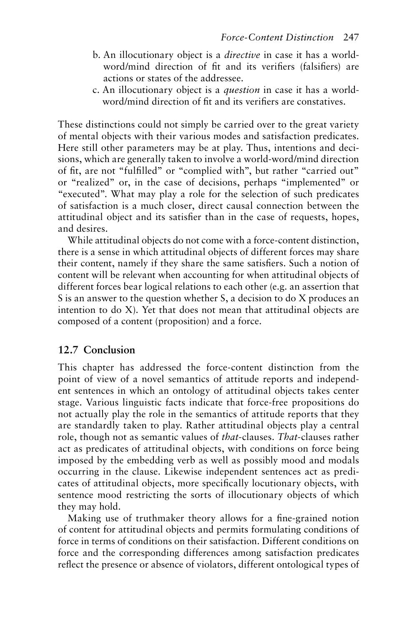- b. An illocutionary object is a *directive* in case it has a worldword/mind direction of fit and its verifiers (falsifiers) are actions or states of the addressee.
- c. An illocutionary object is a *question* in case it has a worldword/mind direction of fit and its verifiers are constatives.

These distinctions could not simply be carried over to the great variety of mental objects with their various modes and satisfaction predicates. Here still other parameters may be at play. Thus, intentions and decisions, which are generally taken to involve a world-word/mind direction of fit, are not "fulfilled" or "complied with", but rather "carried out" or "realized" or, in the case of decisions, perhaps "implemented" or "executed". What may play a role for the selection of such predicates of satisfaction is a much closer, direct causal connection between the attitudinal object and its satisfier than in the case of requests, hopes, and desires.

While attitudinal objects do not come with a force-content distinction, there is a sense in which attitudinal objects of different forces may share their content, namely if they share the same satisfiers. Such a notion of content will be relevant when accounting for when attitudinal objects of different forces bear logical relations to each other (e.g. an assertion that S is an answer to the question whether S, a decision to do X produces an intention to do X). Yet that does not mean that attitudinal objects are composed of a content (proposition) and a force.

# **12.7 Conclusion**

This chapter has addressed the force-content distinction from the point of view of a novel semantics of attitude reports and independent sentences in which an ontology of attitudinal objects takes center stage. Various linguistic facts indicate that force-free propositions do not actually play the role in the semantics of attitude reports that they are standardly taken to play. Rather attitudinal objects play a central role, though not as semantic values of *that*-clauses. *That*-clauses rather act as predicates of attitudinal objects, with conditions on force being imposed by the embedding verb as well as possibly mood and modals occurring in the clause. Likewise independent sentences act as predicates of attitudinal objects, more specifically locutionary objects, with sentence mood restricting the sorts of illocutionary objects of which they may hold.

Making use of truthmaker theory allows for a fine-grained notion of content for attitudinal objects and permits formulating conditions of force in terms of conditions on their satisfaction. Different conditions on force and the corresponding differences among satisfaction predicates reflect the presence or absence of violators, different ontological types of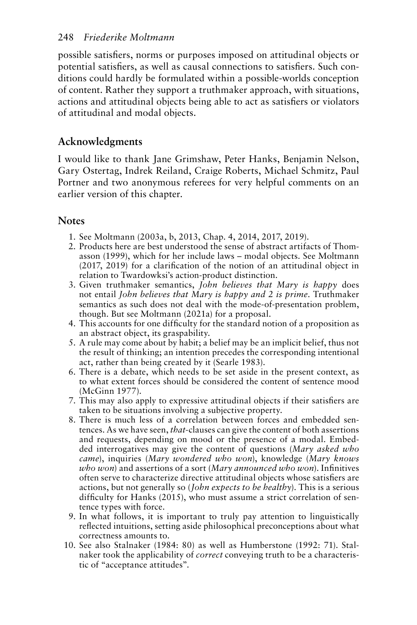<span id="page-13-0"></span>possible satisfiers, norms or purposes imposed on attitudinal objects or potential satisfiers, as well as causal connections to satisfiers. Such conditions could hardly be formulated within a possible-worlds conception of content. Rather they support a truthmaker approach, with situations, actions and attitudinal objects being able to act as satisfiers or violators of attitudinal and modal objects.

# **Acknowledgments**

I would like to thank Jane Grimshaw, Peter Hanks, Benjamin Nelson, Gary Ostertag, Indrek Reiland, Craige Roberts, Michael Schmitz, Paul Portner and two anonymous referees for very helpful comments on an earlier version of this chapter.

# **Notes**

- [1.](#page-1-0) See Moltmann (2003a, b, 2013, Chap. 4, 2014, 2017, 2019).
- [2.](#page-4-0) Products here are best understood the sense of abstract artifacts of Thomasson (1999), which for her include laws – modal objects. See Moltmann (2017, 2019) for a clarification of the notion of an attitudinal object in relation to Twardowksi's action-product distinction.
- [3.](#page-6-0) Given truthmaker semantics, *John believes that Mary is happy* does not entail *John believes that Mary is happy and 2 is prime*. Truthmaker semantics as such does not deal with the mode-of-presentation problem, though. But see Moltmann (2021a) for a proposal.
- [4.](#page-7-0) This accounts for one difficulty for the standard notion of a proposition as an abstract object, its graspability.
- [5.](#page-7-0) A rule may come about by habit; a belief may be an implicit belief, thus not the result of thinking; an intention precedes the corresponding intentional act, rather than being created by it (Searle 1983).
- [6.](#page-9-0) There is a debate, which needs to be set aside in the present context, as to what extent forces should be considered the content of sentence mood (McGinn 1977).
- [7.](#page-9-0) This may also apply to expressive attitudinal objects if their satisfiers are taken to be situations involving a subjective property.
- [8.](#page-9-0) There is much less of a correlation between forces and embedded sentences. As we have seen, *that*-clauses can give the content of both assertions and requests, depending on mood or the presence of a modal. Embedded interrogatives may give the content of questions (*Mary asked who came*), inquiries (*Mary wondered who won*), knowledge (*Mary knows who won*) and assertions of a sort (*Mary announced who won*). Infinitives often serve to characterize directive attitudinal objects whose satisfiers are actions, but not generally so (*John expects to be healthy*). This is a serious difficulty for Hanks (2015), who must assume a strict correlation of sentence types with force.
- [9.](#page-9-0) In what follows, it is important to truly pay attention to linguistically reflected intuitions, setting aside philosophical preconceptions about what correctness amounts to.
- [10.](#page-9-0) See also Stalnaker (1984: 80) as well as Humberstone (1992: 71). Stalnaker took the applicability of *correct* conveying truth to be a characteristic of "acceptance attitudes".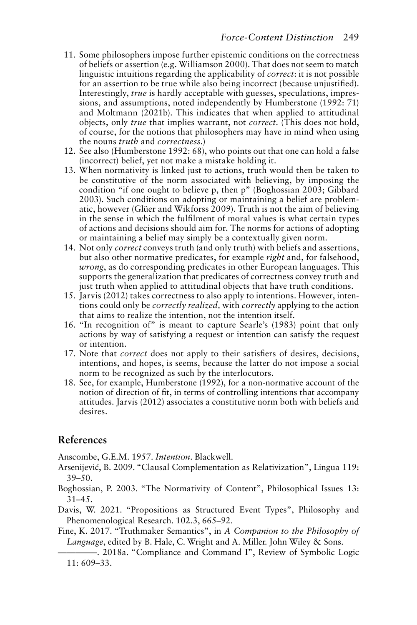- <span id="page-14-0"></span>[11.](#page-10-0) Some philosophers impose further epistemic conditions on the correctness of beliefs or assertion (e.g. Williamson 2000). That does not seem to match linguistic intuitions regarding the applicability of *correct*: it is not possible for an assertion to be true while also being incorrect (because unjustified). Interestingly, *true* is hardly acceptable with guesses, speculations, impressions, and assumptions, noted independently by Humberstone (1992: 71) and Moltmann (2021b). This indicates that when applied to attitudinal objects, only *true* that implies warrant, not *correct*. (This does not hold, of course, for the notions that philosophers may have in mind when using the nouns *truth* and *correctness*.)
- [12.](#page-10-0) See also (Humberstone 1992: 68), who points out that one can hold a false (incorrect) belief, yet not make a mistake holding it.
- [13.](#page-10-0) When normativity is linked just to actions, truth would then be taken to be constitutive of the norm associated with believing, by imposing the condition "if one ought to believe p, then p" (Boghossian 2003; Gibbard 2003). Such conditions on adopting or maintaining a belief are problematic, however (Glüer and Wikforss 2009). Truth is not the aim of believing in the sense in which the fulfilment of moral values is what certain types of actions and decisions should aim for. The norms for actions of adopting or maintaining a belief may simply be a contextually given norm.
- [14.](#page-10-0) Not only *correct* conveys truth (and only truth) with beliefs and assertions, but also other normative predicates, for example *right* and, for falsehood, *wrong*, as do corresponding predicates in other European languages. This supports the generalization that predicates of correctness convey truth and just truth when applied to attitudinal objects that have truth conditions.
- [15.](#page-11-0) Jarvis (2012) takes correctness to also apply to intentions. However, intentions could only be *correctly realized,* with *correctly* applying to the action that aims to realize the intention, not the intention itself.
- [16.](#page-11-0) "In recognition of" is meant to capture Searle's (1983) point that only actions by way of satisfying a request or intention can satisfy the request or intention.
- [17.](#page-11-0) Note that *correct* does not apply to their satisfiers of desires, decisions, intentions, and hopes, is seems, because the latter do not impose a social norm to be recognized as such by the interlocutors.
- [18.](#page-11-0) See, for example, Humberstone (1992), for a non-normative account of the notion of direction of fit, in terms of controlling intentions that accompany attitudes. Jarvis (2012) associates a constitutive norm both with beliefs and desires.

# **References**

Anscombe, G.E.M. 1957. *Intention*. Blackwell.

- Arsenijević, B. 2009. "Clausal Complementation as Relativization", Lingua 119: 39–50.
- Boghossian, P. 2003. "The Normativity of Content", Philosophical Issues 13: 31–45.

Davis, W. 2021. "Propositions as Structured Event Types", Philosophy and Phenomenological Research. 102.3, 665–92.

Fine, K. 2017. "Truthmaker Semantics", in *A Companion to the Philosophy of Language*, edited by B. Hale, C. Wright and A. Miller. John Wiley & Sons.

————–. 2018a. "Compliance and Command I", Review of Symbolic Logic  $11: 609 - 33.$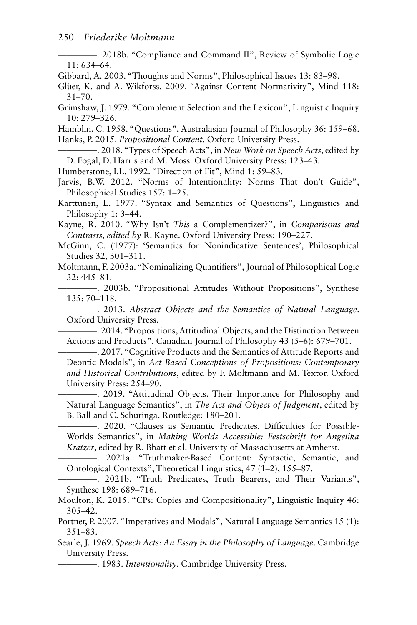————–. 2018b. "Compliance and Command II", Review of Symbolic Logic 11: 634–64.

Gibbard, A. 2003. "Thoughts and Norms", Philosophical Issues 13: 83–98.

Glüer, K. and A. Wikforss. 2009. "Against Content Normativity", Mind 118: 31–70.

Grimshaw, J. 1979. "Complement Selection and the Lexicon", Linguistic Inquiry 10: 279–326.

Hamblin, C. 1958. "Questions", Australasian Journal of Philosophy 36: 159–68. Hanks, P. 2015. *Propositional Content*. Oxford University Press.

————–. 2018. "Types of Speech Acts", in *New Work on Speech Acts*, edited by D. Fogal, D. Harris and M. Moss. Oxford University Press: 123–43.

Humberstone, I.L. 1992. "Direction of Fit", Mind 1: 59–83.

Jarvis, B.W. 2012. "Norms of Intentionality: Norms That don't Guide", Philosophical Studies 157: 1–25.

Karttunen, L. 1977. "Syntax and Semantics of Questions", Linguistics and Philosophy 1: 3–44.

Kayne, R. 2010. "Why Isn't *This* a Complementizer?", in *Comparisons and Contrasts, edited by* R. Kayne. Oxford University Press: 190–227.

McGinn, C. (1977): 'Semantics for Nonindicative Sentences', Philosophical Studies 32, 301–311.

Moltmann, F. 2003a. "Nominalizing Quantifiers", Journal of Philosophical Logic 32: 445–81.

————–. 2003b. "Propositional Attitudes Without Propositions", Synthese 135: 70–118.

————–. 2013. *Abstract Objects and the Semantics of Natural Language*. Oxford University Press.

————–. 2014. "Propositions, Attitudinal Objects, and the Distinction Between Actions and Products", Canadian Journal of Philosophy 43 (5–6): 679–701.

————–. 2017. "Cognitive Products and the Semantics of Attitude Reports and Deontic Modals", in *Act-Based Conceptions of Propositions: Contemporary and Historical Contributions*, edited by F. Moltmann and M. Textor. Oxford University Press: 254–90.

————–. 2019. "Attitudinal Objects. Their Importance for Philosophy and Natural Language Semantics", in *The Act and Object of Judgment*, edited by B. Ball and C. Schuringa. Routledge: 180–201.

————–. 2020. "Clauses as Semantic Predicates. Difficulties for Possible-Worlds Semantics", in *Making Worlds Accessible: Festschrift for Angelika Kratzer*, edited by R. Bhatt et al. University of Massachusetts at Amherst.

————–. 2021a. "Truthmaker-Based Content: Syntactic, Semantic, and Ontological Contexts", Theoretical Linguistics, 47 (1–2), 155–87.

————–. 2021b. "Truth Predicates, Truth Bearers, and Their Variants", Synthese 198: 689–716.

Moulton, K. 2015. "CPs: Copies and Compositionality", Linguistic Inquiry 46: 305–42.

Portner, P. 2007. "Imperatives and Modals", Natural Language Semantics 15 (1): 351–83.

Searle, J. 1969. *Speech Acts: An Essay in the Philosophy of Language*. Cambridge University Press.

————–. 1983. *Intentionality*. Cambridge University Press.